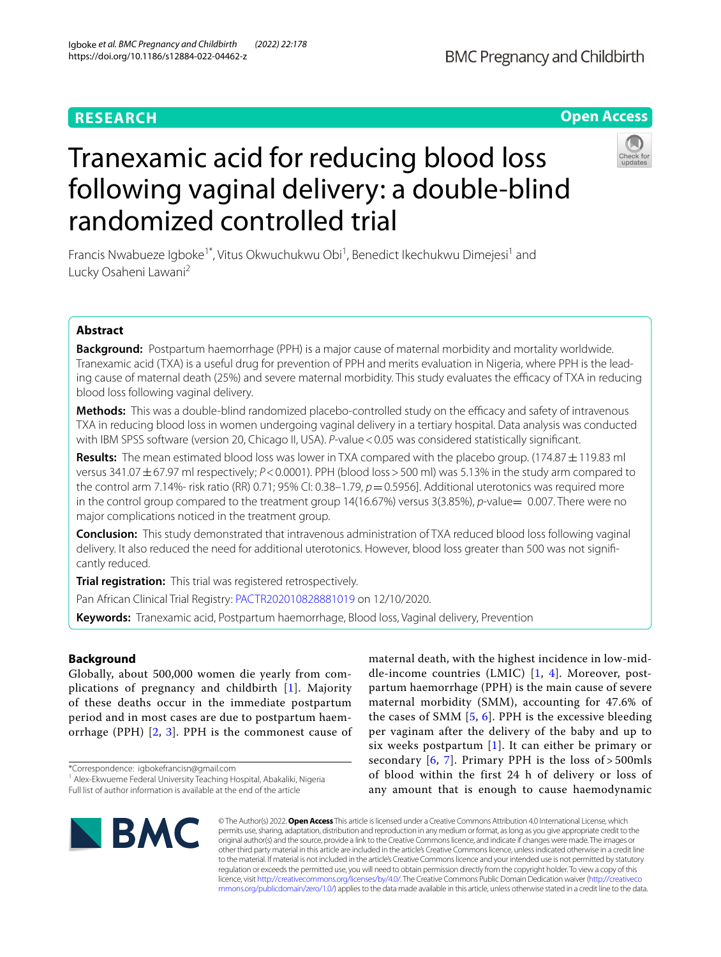# **RESEARCH**

# Tranexamic acid for reducing blood loss following vaginal delivery: a double-blind randomized controlled trial

Francis Nwabueze Igboke<sup>1\*</sup>, Vitus Okwuchukwu Obi<sup>1</sup>, Benedict Ikechukwu Dimejesi<sup>1</sup> and Lucky Osaheni Lawani<sup>2</sup>

# **Abstract**

**Background:** Postpartum haemorrhage (PPH) is a major cause of maternal morbidity and mortality worldwide. Tranexamic acid (TXA) is a useful drug for prevention of PPH and merits evaluation in Nigeria, where PPH is the leading cause of maternal death (25%) and severe maternal morbidity. This study evaluates the efficacy of TXA in reducing blood loss following vaginal delivery.

**Methods:** This was a double-blind randomized placebo-controlled study on the efficacy and safety of intravenous TXA in reducing blood loss in women undergoing vaginal delivery in a tertiary hospital. Data analysis was conducted with IBM SPSS software (version 20, Chicago II, USA). *P*-value<0.05 was considered statistically signifcant.

**Results:** The mean estimated blood loss was lower in TXA compared with the placebo group. (174.87±119.83 ml versus 341.07±67.97 ml respectively; *P*<0.0001). PPH (blood loss>500 ml) was 5.13% in the study arm compared to the control arm 7.14%- risk ratio (RR) 0.71; 95% CI: 0.38-1.79,  $p=0.5956$ ]. Additional uterotonics was required more in the control group compared to the treatment group 14(16.67%) versus 3(3.85%), *p*-value= 0.007. There were no major complications noticed in the treatment group.

**Conclusion:** This study demonstrated that intravenous administration of TXA reduced blood loss following vaginal delivery. It also reduced the need for additional uterotonics. However, blood loss greater than 500 was not signifcantly reduced.

**Trial registration:** This trial was registered retrospectively.

Pan African Clinical Trial Registry: [PACTR202010828881019](https://pactr.samrc.ac.za/) on 12/10/2020.

**Keywords:** Tranexamic acid, Postpartum haemorrhage, Blood loss, Vaginal delivery, Prevention

# **Background**

Globally, about 500,000 women die yearly from complications of pregnancy and childbirth [[1\]](#page-6-0). Majority of these deaths occur in the immediate postpartum period and in most cases are due to postpartum haemorrhage (PPH) [[2](#page-6-1), [3](#page-6-2)]. PPH is the commonest cause of

\*Correspondence: igbokefrancisn@gmail.com

maternal death, with the highest incidence in low-middle-income countries (LMIC) [[1,](#page-6-0) [4\]](#page-6-3). Moreover, postpartum haemorrhage (PPH) is the main cause of severe maternal morbidity (SMM), accounting for 47.6% of the cases of SMM  $[5, 6]$  $[5, 6]$  $[5, 6]$  $[5, 6]$  $[5, 6]$ . PPH is the excessive bleeding per vaginam after the delivery of the baby and up to six weeks postpartum  $[1]$  $[1]$ . It can either be primary or secondary  $[6, 7]$  $[6, 7]$  $[6, 7]$ . Primary PPH is the loss of > 500mls of blood within the first 24 h of delivery or loss of any amount that is enough to cause haemodynamic



© The Author(s) 2022. **Open Access** This article is licensed under a Creative Commons Attribution 4.0 International License, which permits use, sharing, adaptation, distribution and reproduction in any medium or format, as long as you give appropriate credit to the original author(s) and the source, provide a link to the Creative Commons licence, and indicate if changes were made. The images or other third party material in this article are included in the article's Creative Commons licence, unless indicated otherwise in a credit line to the material. If material is not included in the article's Creative Commons licence and your intended use is not permitted by statutory regulation or exceeds the permitted use, you will need to obtain permission directly from the copyright holder. To view a copy of this licence, visit [http://creativecommons.org/licenses/by/4.0/.](http://creativecommons.org/licenses/by/4.0/) The Creative Commons Public Domain Dedication waiver ([http://creativeco](http://creativecommons.org/publicdomain/zero/1.0/) [mmons.org/publicdomain/zero/1.0/](http://creativecommons.org/publicdomain/zero/1.0/)) applies to the data made available in this article, unless otherwise stated in a credit line to the data.



**Open Access**

<sup>&</sup>lt;sup>1</sup> Alex-Ekwueme Federal University Teaching Hospital, Abakaliki, Nigeria Full list of author information is available at the end of the article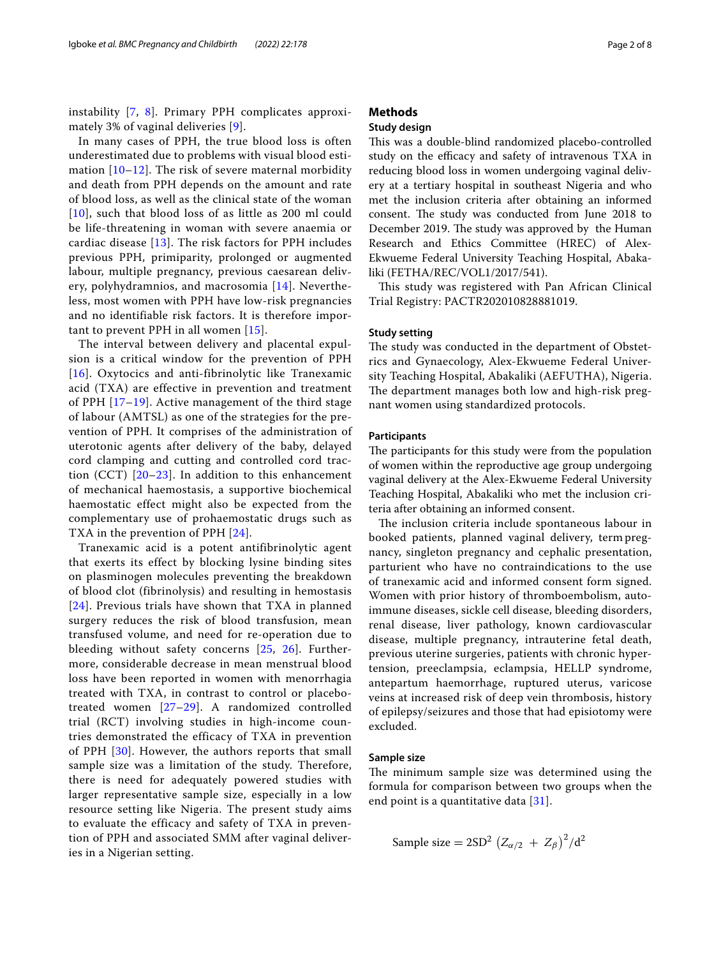instability [\[7](#page-6-6), [8\]](#page-6-7). Primary PPH complicates approximately 3% of vaginal deliveries [[9\]](#page-6-8).

In many cases of PPH, the true blood loss is often underestimated due to problems with visual blood estimation  $[10-12]$  $[10-12]$  $[10-12]$ . The risk of severe maternal morbidity and death from PPH depends on the amount and rate of blood loss, as well as the clinical state of the woman [[10](#page-6-9)], such that blood loss of as little as 200 ml could be life-threatening in woman with severe anaemia or cardiac disease [[13\]](#page-7-1). The risk factors for PPH includes previous PPH, primiparity, prolonged or augmented labour, multiple pregnancy, previous caesarean delivery, polyhydramnios, and macrosomia [[14](#page-7-2)]. Nevertheless, most women with PPH have low-risk pregnancies and no identifiable risk factors. It is therefore important to prevent PPH in all women [\[15](#page-7-3)].

The interval between delivery and placental expulsion is a critical window for the prevention of PPH [[16](#page-7-4)]. Oxytocics and anti-fibrinolytic like Tranexamic acid (TXA) are effective in prevention and treatment of PPH [[17–](#page-7-5)[19](#page-7-6)]. Active management of the third stage of labour (AMTSL) as one of the strategies for the prevention of PPH. It comprises of the administration of uterotonic agents after delivery of the baby, delayed cord clamping and cutting and controlled cord traction (CCT)  $[20-23]$  $[20-23]$  $[20-23]$ . In addition to this enhancement of mechanical haemostasis, a supportive biochemical haemostatic effect might also be expected from the complementary use of prohaemostatic drugs such as TXA in the prevention of PPH [\[24\]](#page-7-9).

Tranexamic acid is a potent antifibrinolytic agent that exerts its effect by blocking lysine binding sites on plasminogen molecules preventing the breakdown of blood clot (fibrinolysis) and resulting in hemostasis [[24](#page-7-9)]. Previous trials have shown that TXA in planned surgery reduces the risk of blood transfusion, mean transfused volume, and need for re-operation due to bleeding without safety concerns [[25](#page-7-10), [26\]](#page-7-11). Furthermore, considerable decrease in mean menstrual blood loss have been reported in women with menorrhagia treated with TXA, in contrast to control or placebotreated women [\[27–](#page-7-12)[29\]](#page-7-13). A randomized controlled trial (RCT) involving studies in high-income countries demonstrated the efficacy of TXA in prevention of PPH [\[30\]](#page-7-14). However, the authors reports that small sample size was a limitation of the study. Therefore, there is need for adequately powered studies with larger representative sample size, especially in a low resource setting like Nigeria. The present study aims to evaluate the efficacy and safety of TXA in prevention of PPH and associated SMM after vaginal deliveries in a Nigerian setting.

# **Methods**

# **Study design**

This was a double-blind randomized placebo-controlled study on the efficacy and safety of intravenous TXA in reducing blood loss in women undergoing vaginal delivery at a tertiary hospital in southeast Nigeria and who met the inclusion criteria after obtaining an informed consent. The study was conducted from June 2018 to December 2019. The study was approved by the Human Research and Ethics Committee (HREC) of Alex-Ekwueme Federal University Teaching Hospital, Abakaliki (FETHA/REC/VOL1/2017/541).

This study was registered with Pan African Clinical Trial Registry: PACTR202010828881019.

#### **Study setting**

The study was conducted in the department of Obstetrics and Gynaecology, Alex-Ekwueme Federal University Teaching Hospital, Abakaliki (AEFUTHA), Nigeria. The department manages both low and high-risk pregnant women using standardized protocols.

## **Participants**

The participants for this study were from the population of women within the reproductive age group undergoing vaginal delivery at the Alex-Ekwueme Federal University Teaching Hospital, Abakaliki who met the inclusion criteria after obtaining an informed consent.

The inclusion criteria include spontaneous labour in booked patients, planned vaginal delivery, term pregnancy, singleton pregnancy and cephalic presentation, parturient who have no contraindications to the use of tranexamic acid and informed consent form signed. Women with prior history of thromboembolism, autoimmune diseases, sickle cell disease, bleeding disorders, renal disease, liver pathology, known cardiovascular disease, multiple pregnancy, intrauterine fetal death, previous uterine surgeries, patients with chronic hypertension, preeclampsia, eclampsia, HELLP syndrome, antepartum haemorrhage, ruptured uterus, varicose veins at increased risk of deep vein thrombosis, history of epilepsy/seizures and those that had episiotomy were excluded.

# **Sample size**

The minimum sample size was determined using the formula for comparison between two groups when the end point is a quantitative data [[31\]](#page-7-15).

Sample size = 
$$
2SD^2 (Z_{\alpha/2} + Z_{\beta})^2/d^2
$$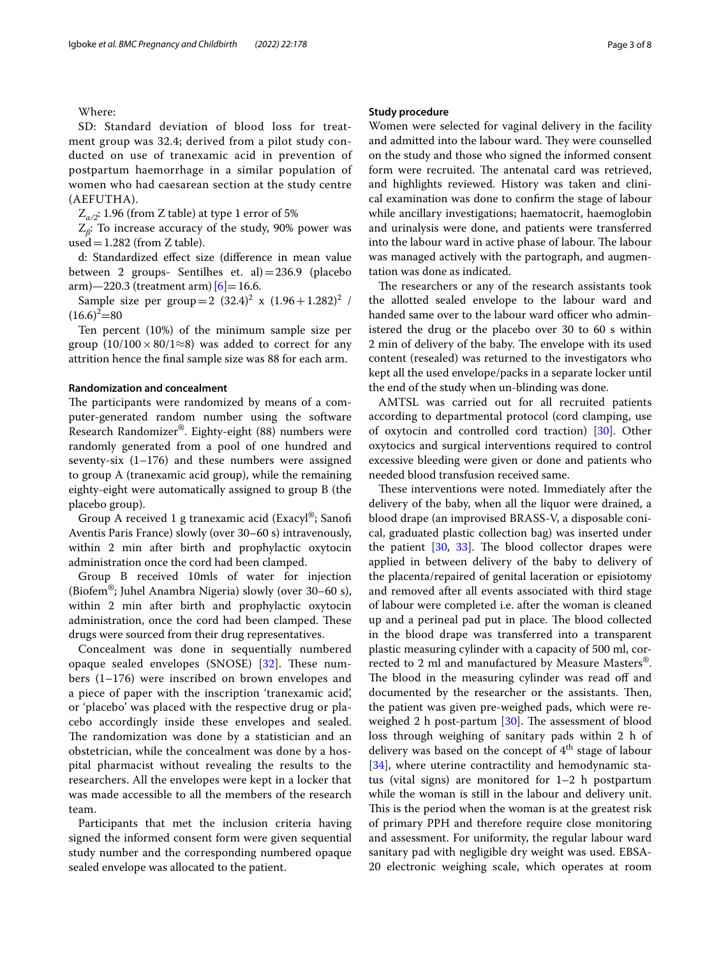Where:

SD: Standard deviation of blood loss for treatment group was 32.4; derived from a pilot study conducted on use of tranexamic acid in prevention of postpartum haemorrhage in a similar population of women who had caesarean section at the study centre (AEFUTHA).

 $Z_{\alpha/2}$ : 1.96 (from Z table) at type 1 error of 5%

Z*β*: To increase accuracy of the study, 90% power was used =  $1.282$  (from Z table).

d: Standardized efect size (diference in mean value between 2 groups- Sentilhes et. al)=236.9 (placebo  $arm$ )  $-220.3$  (treatment arm)  $[6] = 16.6$  $[6] = 16.6$  $[6] = 16.6$ .

Sample size per group =  $2(32.4)^2$  x  $(1.96 + 1.282)^2$  /  $(16.6)^2 = 80$ 

Ten percent (10%) of the minimum sample size per group  $(10/100 \times 80/1 \approx 8)$  was added to correct for any attrition hence the fnal sample size was 88 for each arm.

#### **Randomization and concealment**

The participants were randomized by means of a computer-generated random number using the software Research Randomizer®. Eighty-eight (88) numbers were randomly generated from a pool of one hundred and seventy-six  $(1-176)$  and these numbers were assigned to group A (tranexamic acid group), while the remaining eighty-eight were automatically assigned to group B (the placebo group).

Group A received 1 g tranexamic acid (Exacyl®; Sanof Aventis Paris France) slowly (over 30–60 s) intravenously, within 2 min after birth and prophylactic oxytocin administration once the cord had been clamped.

Group B received 10mls of water for injection (Biofem®; Juhel Anambra Nigeria) slowly (over 30–60 s), within 2 min after birth and prophylactic oxytocin administration, once the cord had been clamped. These drugs were sourced from their drug representatives.

Concealment was done in sequentially numbered opaque sealed envelopes (SNOSE) [[32](#page-7-16)]. These numbers (1–176) were inscribed on brown envelopes and a piece of paper with the inscription 'tranexamic acid', or 'placebo' was placed with the respective drug or placebo accordingly inside these envelopes and sealed. The randomization was done by a statistician and an obstetrician, while the concealment was done by a hospital pharmacist without revealing the results to the researchers. All the envelopes were kept in a locker that was made accessible to all the members of the research team.

Participants that met the inclusion criteria having signed the informed consent form were given sequential study number and the corresponding numbered opaque sealed envelope was allocated to the patient.

#### **Study procedure**

Women were selected for vaginal delivery in the facility and admitted into the labour ward. They were counselled on the study and those who signed the informed consent form were recruited. The antenatal card was retrieved, and highlights reviewed. History was taken and clinical examination was done to confrm the stage of labour while ancillary investigations; haematocrit, haemoglobin and urinalysis were done, and patients were transferred into the labour ward in active phase of labour. The labour was managed actively with the partograph, and augmentation was done as indicated.

The researchers or any of the research assistants took the allotted sealed envelope to the labour ward and handed same over to the labour ward officer who administered the drug or the placebo over 30 to 60 s within 2 min of delivery of the baby. The envelope with its used content (resealed) was returned to the investigators who kept all the used envelope/packs in a separate locker until the end of the study when un-blinding was done.

AMTSL was carried out for all recruited patients according to departmental protocol (cord clamping, use of oxytocin and controlled cord traction) [[30](#page-7-14)]. Other oxytocics and surgical interventions required to control excessive bleeding were given or done and patients who needed blood transfusion received same.

These interventions were noted. Immediately after the delivery of the baby, when all the liquor were drained, a blood drape (an improvised BRASS-V, a disposable conical, graduated plastic collection bag) was inserted under the patient  $[30, 33]$  $[30, 33]$  $[30, 33]$  $[30, 33]$ . The blood collector drapes were applied in between delivery of the baby to delivery of the placenta/repaired of genital laceration or episiotomy and removed after all events associated with third stage of labour were completed i.e. after the woman is cleaned up and a perineal pad put in place. The blood collected in the blood drape was transferred into a transparent plastic measuring cylinder with a capacity of 500 ml, corrected to 2 ml and manufactured by Measure Masters®. The blood in the measuring cylinder was read off and documented by the researcher or the assistants. Then, the patient was given pre-weighed pads, which were reweighed 2 h post-partum  $[30]$  $[30]$ . The assessment of blood loss through weighing of sanitary pads within 2 h of delivery was based on the concept of  $4<sup>th</sup>$  stage of labour [[34\]](#page-7-18), where uterine contractility and hemodynamic status (vital signs) are monitored for 1–2 h postpartum while the woman is still in the labour and delivery unit. This is the period when the woman is at the greatest risk of primary PPH and therefore require close monitoring and assessment. For uniformity, the regular labour ward sanitary pad with negligible dry weight was used. EBSA-20 electronic weighing scale, which operates at room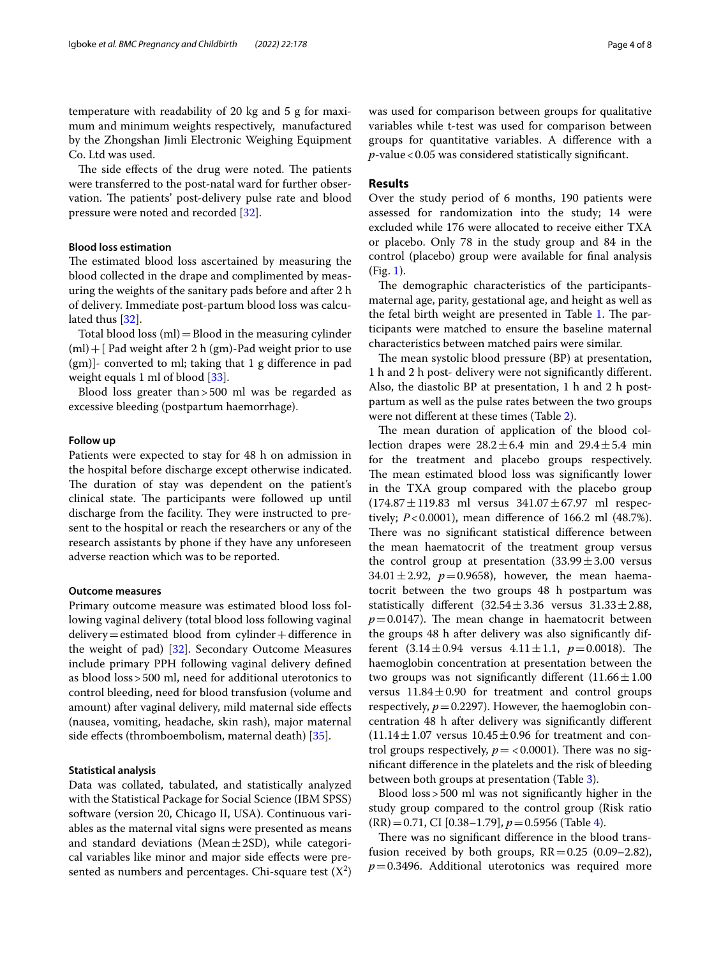temperature with readability of 20 kg and 5 g for maximum and minimum weights respectively, manufactured by the Zhongshan Jimli Electronic Weighing Equipment Co. Ltd was used.

The side effects of the drug were noted. The patients were transferred to the post-natal ward for further observation. The patients' post-delivery pulse rate and blood pressure were noted and recorded [[32\]](#page-7-16).

# **Blood loss estimation**

The estimated blood loss ascertained by measuring the blood collected in the drape and complimented by measuring the weights of the sanitary pads before and after 2 h of delivery. Immediate post-partum blood loss was calculated thus [\[32](#page-7-16)].

Total blood loss  $(ml)$  = Blood in the measuring cylinder (ml)+[ Pad weight after 2 h (gm)-Pad weight prior to use (gm)]- converted to ml; taking that 1 g diference in pad weight equals 1 ml of blood [\[33](#page-7-17)].

Blood loss greater than>500 ml was be regarded as excessive bleeding (postpartum haemorrhage).

## **Follow up**

Patients were expected to stay for 48 h on admission in the hospital before discharge except otherwise indicated. The duration of stay was dependent on the patient's clinical state. The participants were followed up until discharge from the facility. They were instructed to present to the hospital or reach the researchers or any of the research assistants by phone if they have any unforeseen adverse reaction which was to be reported.

## **Outcome measures**

Primary outcome measure was estimated blood loss following vaginal delivery (total blood loss following vaginal  $delivery = estimated blood from cylinder + difference in$ the weight of pad)  $[32]$  $[32]$ . Secondary Outcome Measures include primary PPH following vaginal delivery defned as blood loss>500 ml, need for additional uterotonics to control bleeding, need for blood transfusion (volume and amount) after vaginal delivery, mild maternal side efects (nausea, vomiting, headache, skin rash), major maternal side efects (thromboembolism, maternal death) [\[35](#page-7-19)].

## **Statistical analysis**

Data was collated, tabulated, and statistically analyzed with the Statistical Package for Social Science (IBM SPSS) software (version 20, Chicago II, USA). Continuous variables as the maternal vital signs were presented as means and standard deviations (Mean $\pm$ 2SD), while categorical variables like minor and major side efects were presented as numbers and percentages. Chi-square test  $(X^2)$  was used for comparison between groups for qualitative variables while t-test was used for comparison between groups for quantitative variables. A diference with a *p*-value<0.05 was considered statistically signifcant.

## **Results**

Over the study period of 6 months, 190 patients were assessed for randomization into the study; 14 were excluded while 176 were allocated to receive either TXA or placebo. Only 78 in the study group and 84 in the control (placebo) group were available for fnal analysis (Fig. [1\)](#page-4-0).

The demographic characteristics of the participantsmaternal age, parity, gestational age, and height as well as the fetal birth weight are presented in Table [1](#page-4-1). The participants were matched to ensure the baseline maternal characteristics between matched pairs were similar.

The mean systolic blood pressure (BP) at presentation, 1 h and 2 h post- delivery were not signifcantly diferent. Also, the diastolic BP at presentation, 1 h and 2 h postpartum as well as the pulse rates between the two groups were not diferent at these times (Table [2\)](#page-4-2).

The mean duration of application of the blood collection drapes were  $28.2 \pm 6.4$  min and  $29.4 \pm 5.4$  min for the treatment and placebo groups respectively. The mean estimated blood loss was significantly lower in the TXA group compared with the placebo group  $(174.87 \pm 119.83$  ml versus  $341.07 \pm 67.97$  ml respectively; *P*<0.0001), mean diference of 166.2 ml (48.7%). There was no significant statistical difference between the mean haematocrit of the treatment group versus the control group at presentation  $(33.99 \pm 3.00$  versus 34.01 $\pm$ 2.92,  $p=0.9658$ ), however, the mean haematocrit between the two groups 48 h postpartum was statistically different  $(32.54 \pm 3.36$  versus  $31.33 \pm 2.88$ ,  $p=0.0147$ ). The mean change in haematocrit between the groups 48 h after delivery was also signifcantly different  $(3.14 \pm 0.94$  versus  $4.11 \pm 1.1$ ,  $p = 0.0018$ ). The haemoglobin concentration at presentation between the two groups was not significantly different  $(11.66 \pm 1.00)$ versus  $11.84 \pm 0.90$  for treatment and control groups respectively,  $p=0.2297$ ). However, the haemoglobin concentration 48 h after delivery was signifcantly diferent  $(11.14 \pm 1.07$  versus  $10.45 \pm 0.96$  for treatment and control groups respectively,  $p = < 0.0001$ ). There was no signifcant diference in the platelets and the risk of bleeding between both groups at presentation (Table [3\)](#page-5-0).

Blood loss>500 ml was not signifcantly higher in the study group compared to the control group (Risk ratio (RR)=0.71, CI [0.38–1.79], *p*=0.5956 (Table [4\)](#page-5-1).

There was no significant difference in the blood transfusion received by both groups,  $RR = 0.25$  (0.09–2.82),  $p=0.3496$ . Additional uterotonics was required more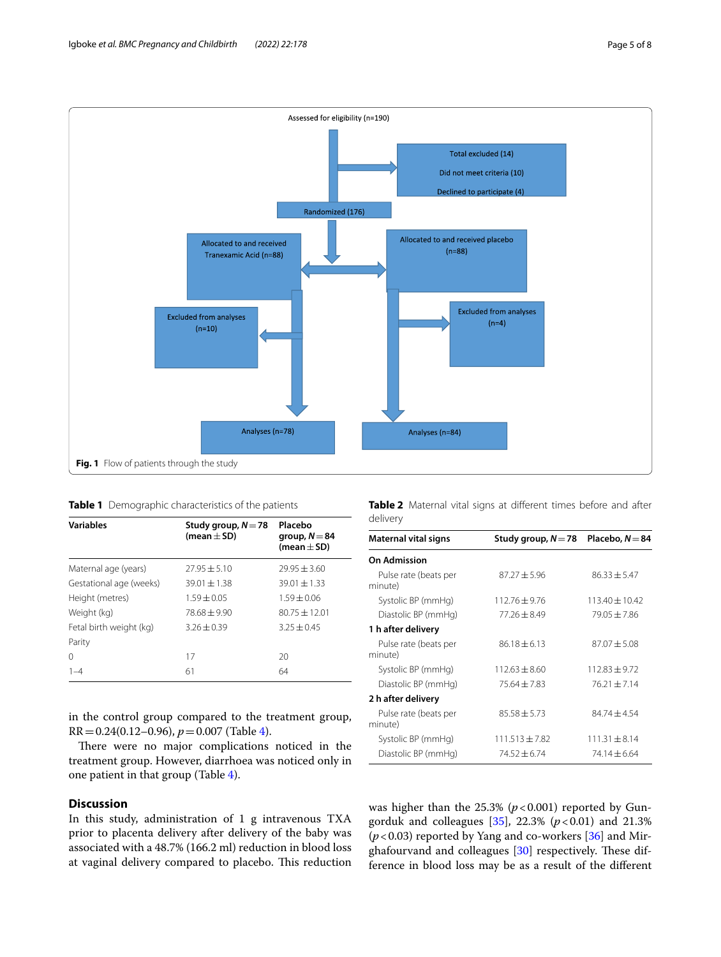

<span id="page-4-1"></span><span id="page-4-0"></span>

| <b>Table 1</b> Demographic characteristics of the patients |  |
|------------------------------------------------------------|--|
|------------------------------------------------------------|--|

| <b>Variables</b>        | Study group, $N = 78$<br>(mean $\pm$ SD) | Placebo<br>group, $N = 84$<br>(mean $\pm$ SD) |  |  |
|-------------------------|------------------------------------------|-----------------------------------------------|--|--|
| Maternal age (years)    | $27.95 \pm 5.10$                         | $79.95 + 3.60$                                |  |  |
| Gestational age (weeks) | $39.01 \pm 1.38$                         | $39.01 + 1.33$                                |  |  |
| Height (metres)         | $1.59 + 0.05$                            | $1.59 + 0.06$                                 |  |  |
| Weight (kg)             | $78.68 + 9.90$                           | $80.75 \pm 12.01$                             |  |  |
| Fetal birth weight (kg) | $3.26 + 0.39$                            | $3.25 + 0.45$                                 |  |  |
| Parity                  |                                          |                                               |  |  |
| 0                       | 17                                       | 20                                            |  |  |
| $1 - 4$                 | 61                                       | 64                                            |  |  |

in the control group compared to the treatment group, RR=0.24(0.12–0.96), *p*=0.007 (Table [4](#page-5-1)).

There were no major complications noticed in the treatment group. However, diarrhoea was noticed only in one patient in that group (Table [4](#page-5-1)).

# **Discussion**

In this study, administration of 1 g intravenous TXA prior to placenta delivery after delivery of the baby was associated with a 48.7% (166.2 ml) reduction in blood loss at vaginal delivery compared to placebo. This reduction

<span id="page-4-2"></span>

|          | Table 2 Maternal vital signs at different times before and after |  |  |  |  |
|----------|------------------------------------------------------------------|--|--|--|--|
| delivery |                                                                  |  |  |  |  |

| Maternal vital signs             | Study group, $N = 78$ | Placebo, $N = 84$  |  |  |
|----------------------------------|-----------------------|--------------------|--|--|
| <b>On Admission</b>              |                       |                    |  |  |
| Pulse rate (beats per<br>minute) | $87.27 \pm 5.96$      | $86.33 \pm 5.47$   |  |  |
| Systolic BP (mmHg)               | $112.76 + 9.76$       | $113.40 \pm 10.42$ |  |  |
| Diastolic BP (mmHg)              | $77.26 + 8.49$        | $79.05 + 7.86$     |  |  |
| 1 h after delivery               |                       |                    |  |  |
| Pulse rate (beats per<br>minute) | $86.18 + 6.13$        | $87.07 + 5.08$     |  |  |
| Systolic BP (mmHg)               | $112.63 + 8.60$       | $112.83 + 9.72$    |  |  |
| Diastolic BP (mmHg)              | $75.64 + 7.83$        | $76.21 + 7.14$     |  |  |
| 2 h after delivery               |                       |                    |  |  |
| Pulse rate (beats per<br>minute) | $85.58 \pm 5.73$      | $84.74 + 4.54$     |  |  |
| Systolic BP (mmHg)               | $111.513 \pm 7.82$    | $111.31 + 8.14$    |  |  |
| Diastolic BP (mmHg)              | $74.52 + 6.74$        | $74.14 + 6.64$     |  |  |

was higher than the  $25.3\%$  ( $p < 0.001$ ) reported by Gungorduk and colleagues  $[35]$ , 22.3%  $(p < 0.01)$  and 21.3% (*p*<0.03) reported by Yang and co-workers [\[36](#page-7-20)] and Mirghafourvand and colleagues  $[30]$  respectively. These difference in blood loss may be as a result of the diferent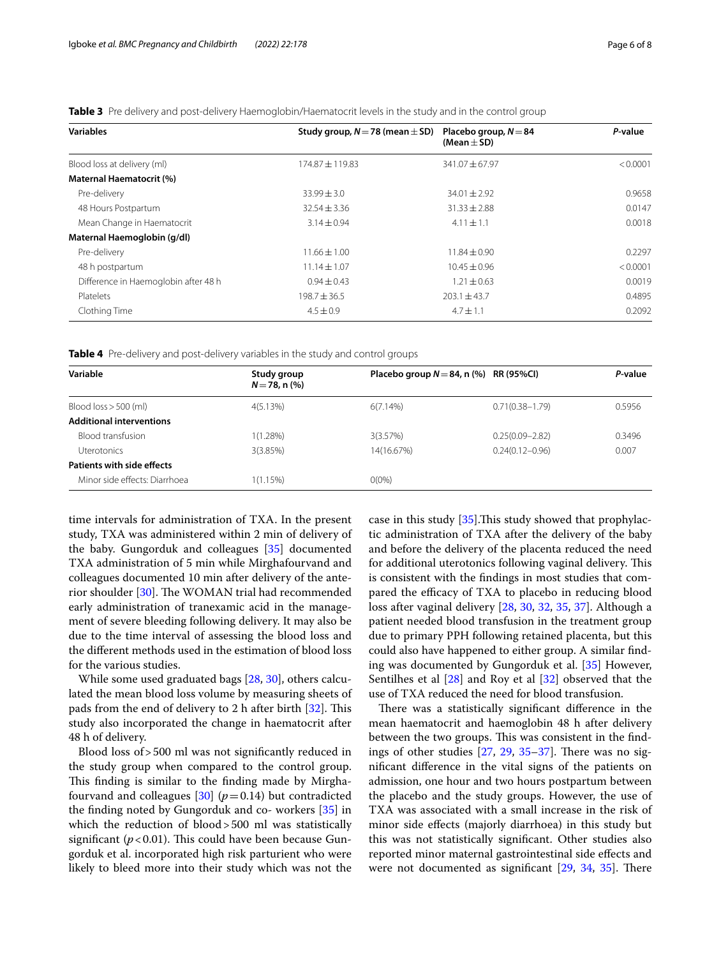| <b>Variables</b>                     | Study group, $N = 78$ (mean $\pm$ SD) | Placebo group, $N = 84$<br>(Mean $\pm$ SD) | P-value  |  |
|--------------------------------------|---------------------------------------|--------------------------------------------|----------|--|
| Blood loss at delivery (ml)          | $174.87 \pm 119.83$                   | $341.07 \pm 67.97$                         | < 0.0001 |  |
| Maternal Haematocrit (%)             |                                       |                                            |          |  |
| Pre-delivery                         | $33.99 \pm 3.0$                       | $34.01 \pm 2.92$                           | 0.9658   |  |
| 48 Hours Postpartum                  | $32.54 + 3.36$                        | $31.33 \pm 2.88$                           | 0.0147   |  |
| Mean Change in Haematocrit           | $3.14 \pm 0.94$                       | $4.11 \pm 1.1$                             | 0.0018   |  |
| Maternal Haemoglobin (g/dl)          |                                       |                                            |          |  |
| Pre-delivery                         | $11.66 \pm 1.00$                      | $11.84 \pm 0.90$                           | 0.2297   |  |
| 48 h postpartum                      | $11.14 \pm 1.07$                      | $10.45 \pm 0.96$                           | < 0.0001 |  |
| Difference in Haemoglobin after 48 h | $0.94 \pm 0.43$                       | $1.21 \pm 0.63$                            | 0.0019   |  |
| Platelets                            | $198.7 \pm 36.5$                      | $203.1 + 43.7$                             | 0.4895   |  |
| Clothing Time                        | $4.5 \pm 0.9$                         | $4.7 \pm 1.1$                              | 0.2092   |  |

<span id="page-5-0"></span>**Table 3** Pre delivery and post-delivery Haemoglobin/Haematocrit levels in the study and in the control group

<span id="page-5-1"></span>**Table 4** Pre-delivery and post-delivery variables in the study and control groups

| Study group<br>$N = 78$ , n $(\%)$ |            |                     | P-value                                   |
|------------------------------------|------------|---------------------|-------------------------------------------|
| 4(5.13%)                           | 6(7.14%)   | $0.71(0.38 - 1.79)$ | 0.5956                                    |
|                                    |            |                     |                                           |
| 1(1.28%)                           | 3(3.57%)   | $0.25(0.09 - 2.82)$ | 0.3496                                    |
| 3(3.85%)                           | 14(16.67%) | $0.24(0.12 - 0.96)$ | 0.007                                     |
|                                    |            |                     |                                           |
| $1(1.15\%)$                        | $0(0\%)$   |                     |                                           |
|                                    |            |                     | Placebo group $N = 84$ , n (%) RR (95%CI) |

time intervals for administration of TXA. In the present study, TXA was administered within 2 min of delivery of the baby. Gungorduk and colleagues [\[35](#page-7-19)] documented TXA administration of 5 min while Mirghafourvand and colleagues documented 10 min after delivery of the ante-rior shoulder [[30](#page-7-14)]. The WOMAN trial had recommended early administration of tranexamic acid in the management of severe bleeding following delivery. It may also be due to the time interval of assessing the blood loss and the diferent methods used in the estimation of blood loss for the various studies.

While some used graduated bags [\[28](#page-7-21), [30\]](#page-7-14), others calculated the mean blood loss volume by measuring sheets of pads from the end of delivery to 2 h after birth  $[32]$ . This study also incorporated the change in haematocrit after 48 h of delivery.

Blood loss of>500 ml was not signifcantly reduced in the study group when compared to the control group. This finding is similar to the finding made by Mirghafourvand and colleagues  $[30]$  $[30]$  ( $p=0.14$ ) but contradicted the fnding noted by Gungorduk and co- workers [[35](#page-7-19)] in which the reduction of blood>500 ml was statistically significant  $(p<0.01)$ . This could have been because Gungorduk et al. incorporated high risk parturient who were likely to bleed more into their study which was not the case in this study  $[35]$  $[35]$ . This study showed that prophylactic administration of TXA after the delivery of the baby and before the delivery of the placenta reduced the need for additional uterotonics following vaginal delivery. This is consistent with the fndings in most studies that compared the efficacy of TXA to placebo in reducing blood loss after vaginal delivery [[28,](#page-7-21) [30,](#page-7-14) [32,](#page-7-16) [35](#page-7-19), [37](#page-7-22)]. Although a patient needed blood transfusion in the treatment group due to primary PPH following retained placenta, but this could also have happened to either group. A similar fnding was documented by Gungorduk et al. [[35\]](#page-7-19) However, Sentilhes et al [\[28\]](#page-7-21) and Roy et al [[32\]](#page-7-16) observed that the use of TXA reduced the need for blood transfusion.

There was a statistically significant difference in the mean haematocrit and haemoglobin 48 h after delivery between the two groups. This was consistent in the findings of other studies  $[27, 29, 35-37]$  $[27, 29, 35-37]$  $[27, 29, 35-37]$  $[27, 29, 35-37]$  $[27, 29, 35-37]$  $[27, 29, 35-37]$  $[27, 29, 35-37]$ . There was no signifcant diference in the vital signs of the patients on admission, one hour and two hours postpartum between the placebo and the study groups. However, the use of TXA was associated with a small increase in the risk of minor side efects (majorly diarrhoea) in this study but this was not statistically signifcant. Other studies also reported minor maternal gastrointestinal side efects and were not documented as significant  $[29, 34, 35]$  $[29, 34, 35]$  $[29, 34, 35]$  $[29, 34, 35]$  $[29, 34, 35]$  $[29, 34, 35]$ . There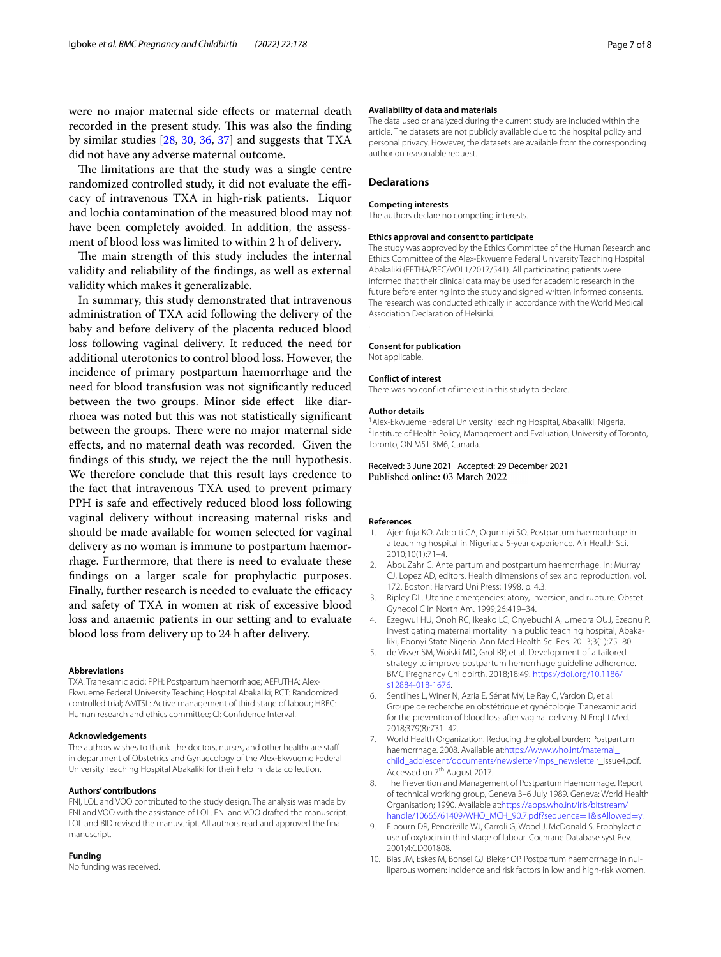were no major maternal side efects or maternal death recorded in the present study. This was also the finding by similar studies [[28,](#page-7-21) [30,](#page-7-14) [36,](#page-7-20) [37\]](#page-7-22) and suggests that TXA did not have any adverse maternal outcome.

The limitations are that the study was a single centre randomized controlled study, it did not evaluate the efficacy of intravenous TXA in high-risk patients. Liquor and lochia contamination of the measured blood may not have been completely avoided. In addition, the assessment of blood loss was limited to within 2 h of delivery.

The main strength of this study includes the internal validity and reliability of the fndings, as well as external validity which makes it generalizable.

In summary, this study demonstrated that intravenous administration of TXA acid following the delivery of the baby and before delivery of the placenta reduced blood loss following vaginal delivery. It reduced the need for additional uterotonics to control blood loss. However, the incidence of primary postpartum haemorrhage and the need for blood transfusion was not signifcantly reduced between the two groups. Minor side effect like diarrhoea was noted but this was not statistically signifcant between the groups. There were no major maternal side efects, and no maternal death was recorded. Given the findings of this study, we reject the the null hypothesis. We therefore conclude that this result lays credence to the fact that intravenous TXA used to prevent primary PPH is safe and efectively reduced blood loss following vaginal delivery without increasing maternal risks and should be made available for women selected for vaginal delivery as no woman is immune to postpartum haemorrhage. Furthermore, that there is need to evaluate these fndings on a larger scale for prophylactic purposes. Finally, further research is needed to evaluate the efficacy and safety of TXA in women at risk of excessive blood loss and anaemic patients in our setting and to evaluate blood loss from delivery up to 24 h after delivery.

#### **Abbreviations**

TXA: Tranexamic acid; PPH: Postpartum haemorrhage; AEFUTHA: Alex-Ekwueme Federal University Teaching Hospital Abakaliki; RCT: Randomized controlled trial; AMTSL: Active management of third stage of labour; HREC: Human research and ethics committee; CI: Confdence Interval.

#### **Acknowledgements**

The authors wishes to thank the doctors, nurses, and other healthcare staf in department of Obstetrics and Gynaecology of the Alex-Ekwueme Federal University Teaching Hospital Abakaliki for their help in data collection.

#### **Authors' contributions**

FNI, LOL and VOO contributed to the study design. The analysis was made by FNI and VOO with the assistance of LOL. FNI and VOO drafted the manuscript. LOL and BID revised the manuscript. All authors read and approved the fnal manuscript.

#### **Funding**

No funding was received.

#### **Availability of data and materials**

The data used or analyzed during the current study are included within the article. The datasets are not publicly available due to the hospital policy and personal privacy. However, the datasets are available from the corresponding author on reasonable request.

#### **Declarations**

#### **Competing interests**

The authors declare no competing interests.

#### **Ethics approval and consent to participate**

The study was approved by the Ethics Committee of the Human Research and Ethics Committee of the Alex-Ekwueme Federal University Teaching Hospital Abakaliki (FETHA/REC/VOL1/2017/541). All participating patients were informed that their clinical data may be used for academic research in the future before entering into the study and signed written informed consents. The research was conducted ethically in accordance with the World Medical Association Declaration of Helsinki.

#### **Consent for publication**

Not applicable.

.

#### **Conflict of interest**

There was no confict of interest in this study to declare.

#### **Author details**

<sup>1</sup> Alex-Ekwueme Federal University Teaching Hospital, Abakaliki, Nigeria. <sup>2</sup>Institute of Health Policy, Management and Evaluation, University of Toronto, Toronto, ON M5T 3M6, Canada.

Received: 3 June 2021 Accepted: 29 December 2021 Published online: 03 March 2022

#### **References**

- <span id="page-6-0"></span>1. Ajenifuja KO, Adepiti CA, Ogunniyi SO. Postpartum haemorrhage in a teaching hospital in Nigeria: a 5-year experience. Afr Health Sci. 2010;10(1):71–4.
- <span id="page-6-1"></span>2. AbouZahr C. Ante partum and postpartum haemorrhage. In: Murray CJ, Lopez AD, editors. Health dimensions of sex and reproduction, vol. 172. Boston: Harvard Uni Press; 1998. p. 4.3.
- <span id="page-6-2"></span>3. Ripley DL. Uterine emergencies: atony, inversion, and rupture. Obstet Gynecol Clin North Am. 1999;26:419–34.
- <span id="page-6-3"></span>4. Ezegwui HU, Onoh RC, Ikeako LC, Onyebuchi A, Umeora OUJ, Ezeonu P. Investigating maternal mortality in a public teaching hospital, Abakaliki, Ebonyi State Nigeria. Ann Med Health Sci Res. 2013;3(1):75–80.
- <span id="page-6-4"></span>5. de Visser SM, Woiski MD, Grol RP, et al. Development of a tailored strategy to improve postpartum hemorrhage guideline adherence. BMC Pregnancy Childbirth. 2018;18:49. [https://doi.org/10.1186/](https://doi.org/10.1186/s12884-018-1676) [s12884-018-1676](https://doi.org/10.1186/s12884-018-1676).
- <span id="page-6-5"></span>6. Sentilhes L, Winer N, Azria E, Sénat MV, Le Ray C, Vardon D, et al. Groupe de recherche en obstétrique et gynécologie. Tranexamic acid for the prevention of blood loss after vaginal delivery. N Engl J Med. 2018;379(8):731–42.
- <span id="page-6-6"></span>7. World Health Organization. Reducing the global burden: Postpartum haemorrhage. 2008. Available at:[https://www.who.int/maternal\\_](https://www.who.int/maternal_child_adolescent/documents/newsletter/mps_newslette) [child\\_adolescent/documents/newsletter/mps\\_newslette](https://www.who.int/maternal_child_adolescent/documents/newsletter/mps_newslette) r\_issue4.pdf. Accessed on 7<sup>th</sup> August 2017.
- <span id="page-6-7"></span>8. The Prevention and Management of Postpartum Haemorrhage. Report of technical working group, Geneva 3–6 July 1989. Geneva: World Health Organisation; 1990. Available at[:https://apps.who.int/iris/bitstream/](https://apps.who.int/iris/bitstream/handle/10665/61409/WHO_MCH_90.7.pdf?sequence=1&isAllowed=y) [handle/10665/61409/WHO\\_MCH\\_90.7.pdf?sequence](https://apps.who.int/iris/bitstream/handle/10665/61409/WHO_MCH_90.7.pdf?sequence=1&isAllowed=y)=1&isAllowed=y.
- <span id="page-6-8"></span>9. Elbourn DR, Pendriville WJ, Carroli G, Wood J, McDonald S. Prophylactic use of oxytocin in third stage of labour. Cochrane Database syst Rev. 2001;4:CD001808.
- <span id="page-6-9"></span>10. Bias JM, Eskes M, Bonsel GJ, Bleker OP. Postpartum haemorrhage in nulliparous women: incidence and risk factors in low and high-risk women.